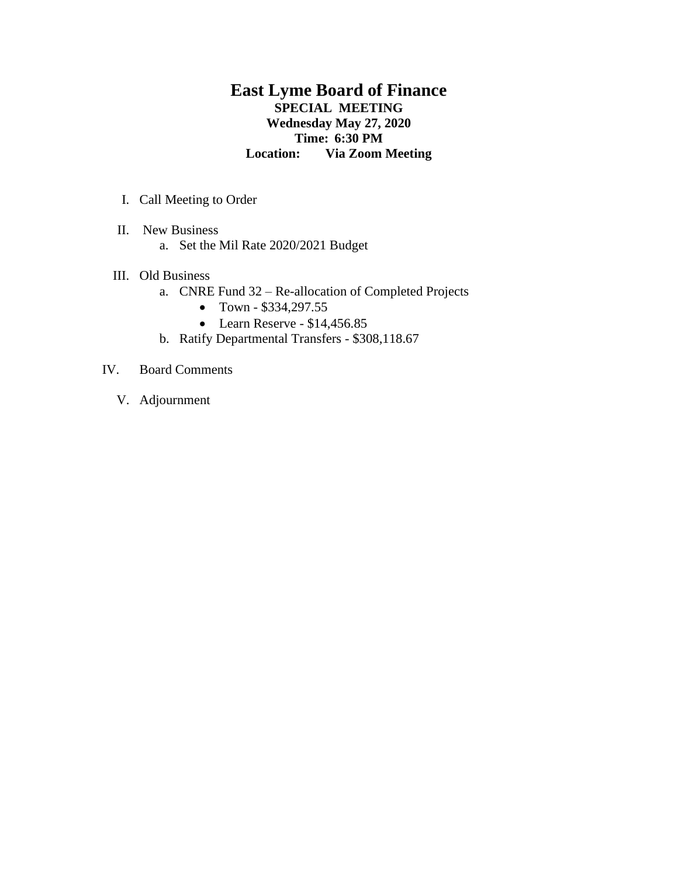## **East Lyme Board of Finance SPECIAL MEETING Wednesday May 27, 2020 Time: 6:30 PM Location: Via Zoom Meeting**

- I. Call Meeting to Order
- II. New Business
	- a. Set the Mil Rate 2020/2021 Budget
- III. Old Business
	- a. CNRE Fund 32 Re-allocation of Completed Projects
		- Town \$334,297.55
		- Learn Reserve  $$14,456.85$
	- b. Ratify Departmental Transfers \$308,118.67
- IV. Board Comments
	- V. Adjournment